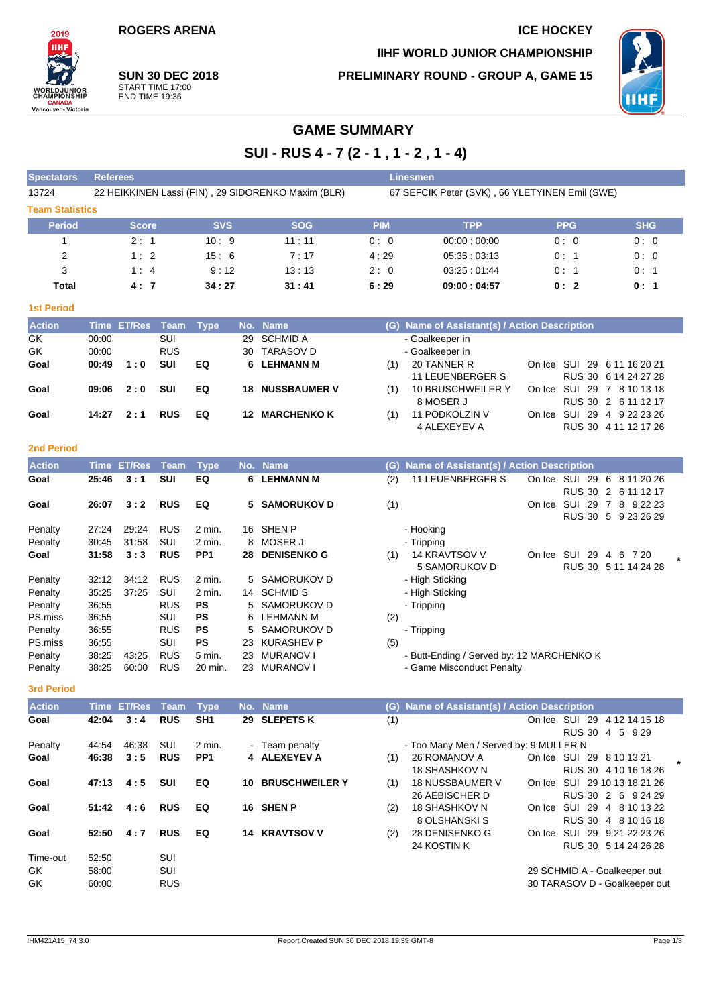## **ROGERS ARENA ICE HOCKEY**

**PRELIMINARY ROUND - GROUP A, GAME 15**

**IIHF WORLD JUNIOR CHAMPIONSHIP**



**SUN 30 DEC 2018** START TIME 17:00 END TIME 19:36

## **GAME SUMMARY**

**SUI - RUS 4 - 7 (2 - 1 , 1 - 2 , 1 - 4)**

| <b>Spectators</b>      | <b>Referees</b>                                    |            |            | <b>Linesmen</b>                                |             |            |            |  |  |  |  |  |
|------------------------|----------------------------------------------------|------------|------------|------------------------------------------------|-------------|------------|------------|--|--|--|--|--|
| 13724                  | 22 HEIKKINEN Lassi (FIN), 29 SIDORENKO Maxim (BLR) |            |            | 67 SEFCIK Peter (SVK), 66 YLETYINEN Emil (SWE) |             |            |            |  |  |  |  |  |
| <b>Team Statistics</b> |                                                    |            |            |                                                |             |            |            |  |  |  |  |  |
| <b>Period</b>          | <b>Score</b>                                       | <b>SVS</b> | <b>SOG</b> | <b>PIM</b>                                     | <b>TPP</b>  | <b>PPG</b> | <b>SHG</b> |  |  |  |  |  |
|                        | 2:1                                                | 10:9       | 11:11      | 0:0                                            | 00:00:00:00 | 0:0        | 0:0        |  |  |  |  |  |
| 2                      | 1:2                                                | 15:6       | 7:17       | 4:29                                           | 05:35:03:13 | 0:1        | 0:0        |  |  |  |  |  |
| 3                      | 1:4                                                | 9:12       | 13:13      | 2:0                                            | 03.25:01.44 | 0:1        | 0:1        |  |  |  |  |  |
| Total                  | 4:7                                                | 34:27      | 31:41      | 6:29                                           | 09:00:04:57 | 0:2        | 0:1        |  |  |  |  |  |

#### **1st Period**

2019 IIH)

**WORLDJUNI**<br>CHAMPIONSI

**CANADA**<br>Vancouver - Victoria

| <b>Action</b> |       | Time ET/Res Team Type |            |    |     | No. Name               |     | (G) Name of Assistant(s) / Action Description |                             |
|---------------|-------|-----------------------|------------|----|-----|------------------------|-----|-----------------------------------------------|-----------------------------|
| GK.           | 00:00 |                       | SUI        |    |     | 29 SCHMID A            |     | - Goalkeeper in                               |                             |
| GK            | 00:00 |                       | <b>RUS</b> |    |     | 30 TARASOV D           |     | - Goalkeeper in                               |                             |
| Goal          | 00:49 | 1:0                   | <b>SUI</b> | EQ |     | 6 LEHMANN M            | (1) | 20 TANNER R                                   | On Ice SUI 29 6 11 16 20 21 |
|               |       |                       |            |    |     |                        |     | <b>11 LEUENBERGER S</b>                       | RUS 30 6 14 24 27 28        |
| Goal          | 09:06 | 2:0                   | <b>SUI</b> | EQ |     | <b>18 NUSSBAUMER V</b> | (1) | 10 BRUSCHWEILER Y                             | On Ice SUI 29 7 8 10 13 18  |
|               |       |                       |            |    |     |                        |     | 8 MOSER J                                     | RUS 30 2 6 11 12 17         |
| Goal          | 14:27 | 2:1                   | <b>RUS</b> | EQ | 12. | <b>MARCHENKO K</b>     | (1) | 11 PODKOLZIN V                                | On Ice SUI 29 4 9 22 23 26  |
|               |       |                       |            |    |     |                        |     | 4 ALEXEYEV A                                  | RUS 30 4 11 12 17 26        |

## **2nd Period**

| <b>Action</b> | Time  | <b>ET/Res</b> | Team       | <b>Type</b>     |    | No. Name           | Name of Assistant(s) / Action Description<br>(G)                                |
|---------------|-------|---------------|------------|-----------------|----|--------------------|---------------------------------------------------------------------------------|
| Goal          | 25:46 | 3:1           | <b>SUI</b> | EQ              | 6  | <b>LEHMANN M</b>   | <b>11 LEUENBERGER S</b><br>(2)<br>On Ice<br><b>SUI</b><br>29<br>6<br>8 11 20 26 |
|               |       |               |            |                 |    |                    | <b>RUS 30</b><br>2 6 11 12 17                                                   |
| Goal          | 26:07 | 3:2           | <b>RUS</b> | EQ              |    | 5 SAMORUKOV D      | (1)<br>SUI<br>29<br>8<br>9 22 23<br>On Ice<br>-7                                |
|               |       |               |            |                 |    |                    | <b>RUS 30</b><br>9 23 26 29<br>5                                                |
| Penalty       | 27:24 | 29:24         | <b>RUS</b> | 2 min.          | 16 | <b>SHEN P</b>      | - Hooking                                                                       |
| Penalty       | 30:45 | 31:58         | SUI        | 2 min.          | 8  | <b>MOSER J</b>     | - Tripping                                                                      |
| Goal          | 31:58 | 3:3           | <b>RUS</b> | PP <sub>1</sub> | 28 | <b>DENISENKO G</b> | 14 KRAVTSOV V<br>SUI<br>29<br>(1)<br>6<br>7 20<br>On Ice<br>4                   |
|               |       |               |            |                 |    |                    | 5 SAMORUKOV D<br><b>RUS 30</b><br>5 11 14 24 28                                 |
| Penalty       | 32:12 | 34:12         | <b>RUS</b> | 2 min.          |    | 5 SAMORUKOV D      | - High Sticking                                                                 |
| Penalty       | 35:25 | 37:25         | <b>SUI</b> | 2 min.          | 14 | <b>SCHMID S</b>    | - High Sticking                                                                 |
| Penalty       | 36:55 |               | <b>RUS</b> | <b>PS</b>       | 5  | SAMORUKOV D        | - Tripping                                                                      |
| PS.miss       | 36:55 |               | SUI        | <b>PS</b>       | 6  | LEHMANN M          | (2)                                                                             |
| Penalty       | 36:55 |               | <b>RUS</b> | <b>PS</b>       | 5  | SAMORUKOV D        | - Tripping                                                                      |
| PS.miss       | 36:55 |               | SUI        | <b>PS</b>       | 23 | <b>KURASHEV P</b>  | (5)                                                                             |
| Penalty       | 38:25 | 43.25         | <b>RUS</b> | 5 min.          | 23 | <b>MURANOV I</b>   | - Butt-Ending / Served by: 12 MARCHENKO K                                       |
| Penalty       | 38:25 | 60:00         | <b>RUS</b> | 20 min.         | 23 | <b>MURANOV I</b>   | - Game Misconduct Penalty                                                       |

#### **3rd Period**

| <b>Action</b> |       | Time ET/Res Team |            | Type            |     | No. Name              |     | (G) Name of Assistant(s) / Action Description |        |                               |
|---------------|-------|------------------|------------|-----------------|-----|-----------------------|-----|-----------------------------------------------|--------|-------------------------------|
| Goal          | 42:04 | 3:4              | <b>RUS</b> | SH <sub>1</sub> |     | 29 SLEPETS K          | (1) |                                               | On Ice | SUI<br>-29<br>4 12 14 15 18   |
|               |       |                  |            |                 |     |                       |     |                                               |        | RUS 30 4 5 9 29               |
| Penalty       | 44:54 | 46:38            | SUI        | $2$ min.        |     | - Team penalty        |     | - Too Many Men / Served by: 9 MULLER N        |        |                               |
| Goal          | 46:38 | 3:5              | <b>RUS</b> | PP <sub>1</sub> |     | 4 ALEXEYEV A          | (1) | 26 ROMANOV A                                  |        | On Ice SUI 29 8 10 13 21      |
|               |       |                  |            |                 |     |                       |     | 18 SHASHKOV N                                 |        | RUS 30 4 10 16 18 26          |
| Goal          | 47:13 | 4:5              | <b>SUI</b> | EQ              | 10. | <b>BRUSCHWEILER Y</b> | (1) | 18 NUSSBAUMER V                               | On Ice | SUI 29 10 13 18 21 26         |
|               |       |                  |            |                 |     |                       |     | 26 AEBISCHER D                                |        | RUS 30 2 6 9 24 29            |
| Goal          | 51:42 | 4:6              | <b>RUS</b> | EQ              |     | 16 SHEN P             | (2) | 18 SHASHKOV N                                 | On Ice | SUI 29 4 8 10 13 22           |
|               |       |                  |            |                 |     |                       |     | 8 OLSHANSKI S                                 |        | RUS 30 4 8 10 16 18           |
| Goal          | 52:50 | 4:7              | <b>RUS</b> | EQ              | 14  | <b>KRAVTSOV V</b>     | (2) | 28 DENISENKO G                                | On Ice | SUI 29 9 21 22 23 26          |
|               |       |                  |            |                 |     |                       |     | 24 KOSTIN K                                   |        | RUS 30 5 14 24 26 28          |
| Time-out      | 52:50 |                  | SUI        |                 |     |                       |     |                                               |        |                               |
| GK.           | 58:00 |                  | SUI        |                 |     |                       |     |                                               |        | 29 SCHMID A - Goalkeeper out  |
| GK            | 60:00 |                  | <b>RUS</b> |                 |     |                       |     |                                               |        | 30 TARASOV D - Goalkeeper out |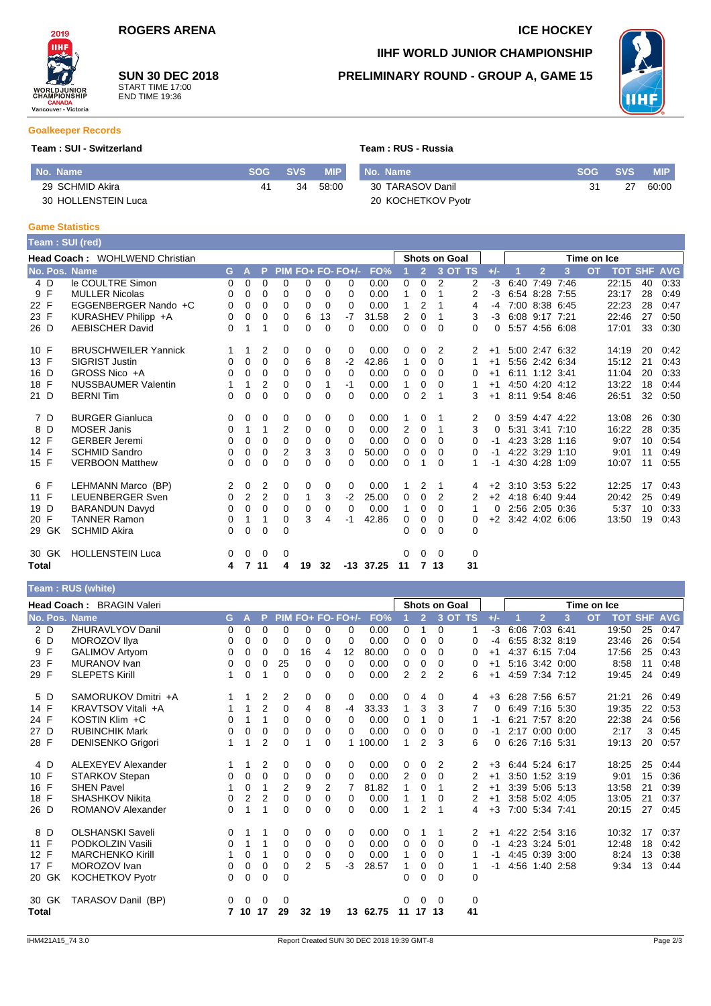2019 **TIHE WORLD JUNI**<br>CHAMPIONSI

**CANADA**<br>Vancouver - Victoria

# **SUN 30 DEC 2018**

START TIME 17:00 END TIME 19:36

# **IIHF WORLD JUNIOR CHAMPIONSHIP**

## **PRELIMINARY ROUND - GROUP A, GAME 15**



#### **Goalkeeper Records**

### **Team : SUI - Switzerland Team : RUS - Russia**

| No. Name            |    | SOG SVS | <b>MIP</b> | No. Name           | SOG SVS |    | <b>MIP</b> |
|---------------------|----|---------|------------|--------------------|---------|----|------------|
| 29 SCHMID Akira     | 41 | 34      | 58:00      | 30 TARASOV Danil   | 31      | 27 | 60:00      |
| 30 HOLLENSTEIN Luca |    |         |            | 20 KOCHETKOV Pyotr |         |    |            |

### **Game Statistics**

|              |       | Team : SUI (red)               |          |                |                |                |              |          |                   |             |                      |                |                |                |       |                |                |   |                |                    |    |      |
|--------------|-------|--------------------------------|----------|----------------|----------------|----------------|--------------|----------|-------------------|-------------|----------------------|----------------|----------------|----------------|-------|----------------|----------------|---|----------------|--------------------|----|------|
|              |       | Head Coach: WOHLWEND Christian |          |                |                |                |              |          |                   |             | <b>Shots on Goal</b> |                |                |                |       | Time on Ice    |                |   |                |                    |    |      |
|              |       | No. Pos. Name                  | G.       | $\mathbf{A}$   | P.             |                |              |          | PIM FO+ FO- FO+/- | FO%         |                      | $\overline{2}$ |                | 3 OT TS        | $+/-$ |                | $\overline{2}$ | 3 | $\overline{O}$ | <b>TOT SHF AVG</b> |    |      |
|              | 4 D   | le COULTRE Simon               | 0        | 0              | $\Omega$       | 0              | 0            | 0        | 0                 | 0.00        | 0                    | 0              | $\overline{2}$ | 2              | $-3$  |                | 6:40 7:49 7:46 |   |                | 22:15              | 40 | 0:33 |
|              | 9 F   | <b>MULLER Nicolas</b>          | 0        | $\Omega$       | $\Omega$       | $\Omega$       | $\Omega$     | $\Omega$ | 0                 | 0.00        | 1                    | $\mathbf 0$    | 1              | $\overline{2}$ | $-3$  |                | 6:54 8:28 7:55 |   |                | 23:17              | 28 | 0:49 |
| 22 F         |       | EGGENBERGER Nando +C           | 0        | 0              | $\Omega$       | $\Omega$       | 0            | $\Omega$ | 0                 | 0.00        | 1                    | 2              |                | 4              | $-4$  |                | 7:00 8:38 6:45 |   |                | 22:23              | 28 | 0:47 |
| 23 F         |       | KURASHEV Philipp +A            | 0        | 0              | $\Omega$       | $\Omega$       | 6            | 13       | $-7$              | 31.58       | $\overline{2}$       | 0              |                | 3              | $-3$  | 6:08 9:17 7:21 |                |   |                | 22:46              | 27 | 0:50 |
| 26 D         |       | <b>AEBISCHER David</b>         | 0        | 1              | 1              | $\Omega$       | 0            | $\Omega$ | 0                 | 0.00        | $\Omega$             | 0              | $\Omega$       | 0              | 0     |                | 5:57 4:56 6:08 |   |                | 17:01              | 33 | 0:30 |
| 10 F         |       | <b>BRUSCHWEILER Yannick</b>    | 1        | 1              | 2              | 0              | 0            | 0        | 0                 | 0.00        | 0                    | 0              | 2              | 2              | $+1$  |                | 5:00 2:47 6:32 |   |                | 14:19              | 20 | 0:42 |
| 13 F         |       | <b>SIGRIST Justin</b>          | 0        | $\Omega$       | $\Omega$       | $\Omega$       | 6            | 8        | $-2$              | 42.86       | $\mathbf{1}$         | 0              | 0              | $\mathbf{1}$   | $+1$  |                | 5:56 2:42 6:34 |   |                | 15:12              | 21 | 0:43 |
| 16 D         |       | GROSS Nico +A                  | 0        | 0              | $\Omega$       | 0              | 0            | $\Omega$ | $\Omega$          | 0.00        | 0                    | 0              | $\Omega$       | 0              | $+1$  |                | 6:11 1:12 3:41 |   |                | 11:04              | 20 | 0:33 |
| 18 F         |       | <b>NUSSBAUMER Valentin</b>     |          | 1              | $\overline{2}$ | 0              | 0            | 1        | $-1$              | 0.00        | $\mathbf{1}$         | 0              | 0              |                | $+1$  |                | 4:50 4:20 4:12 |   |                | 13:22              | 18 | 0:44 |
| 21 D         |       | <b>BERNITim</b>                | 0        | 0              | 0              | 0              | 0            | $\Omega$ | $\Omega$          | 0.00        | $\mathbf 0$          | $\overline{2}$ | 1              | 3              | $+1$  | 8:11 9:54 8:46 |                |   |                | 26:51              | 32 | 0:50 |
|              | 7 D   | <b>BURGER Gianluca</b>         | 0        | 0              | 0              | 0              | 0            | 0        | 0                 | 0.00        |                      | 0              | 1              | 2              | 0     |                | 3:59 4:47 4:22 |   |                | 13:08              | 26 | 0:30 |
|              | 8 D   | <b>MOSER Janis</b>             | 0        | 1              | 1              | 2              | 0            | $\Omega$ | 0                 | 0.00        | 2                    | 0              | 1              | 3              | 0     |                | 5:31 3:41 7:10 |   |                | 16:22              | 28 | 0:35 |
| 12 F         |       | <b>GERBER Jeremi</b>           | 0        | 0              | $\Omega$       | 0              | 0            | $\Omega$ | 0                 | 0.00        | 0                    | 0              | $\Omega$       | $\Omega$       | $-1$  |                | 4:23 3:28 1:16 |   |                | 9:07               | 10 | 0:54 |
| 14 F         |       | <b>SCHMID Sandro</b>           | 0        | 0              | $\Omega$       | $\overline{2}$ | 3            | 3        | 0                 | 50.00       | 0                    | 0              | 0              | 0              | $-1$  | 4:22 3:29 1:10 |                |   |                | 9:01               | 11 | 0:49 |
| 15 F         |       | <b>VERBOON Matthew</b>         | $\Omega$ | 0              | $\Omega$       | 0              | 0            | $\Omega$ | 0                 | 0.00        | $\Omega$             | 1              | 0              |                | $-1$  | 4:30 4:28 1:09 |                |   |                | 10:07              | 11 | 0:55 |
|              | 6 F   | LEHMANN Marco (BP)             | 2        | 0              | 2              | 0              | 0            | 0        | $\Omega$          | 0.00        |                      | 2              | 1              | 4              | $+2$  | 3:10 3:53 5:22 |                |   |                | 12:25              | 17 | 0:43 |
| 11 F         |       | <b>LEUENBERGER Sven</b>        | $\Omega$ | $\overline{2}$ | 2              | $\Omega$       | $\mathbf{1}$ | 3        | $-2$              | 25.00       | 0                    | 0              | 2              | 2              | $+2$  | 4:18 6:40 9:44 |                |   |                | 20:42              | 25 | 0:49 |
| 19 D         |       | <b>BARANDUN Davyd</b>          | 0        | 0              | $\Omega$       | 0              | 0            | 0        | $\Omega$          | 0.00        | 1                    | 0              | $\Omega$       | 1              | 0     |                | 2:56 2:05 0:36 |   |                | 5:37               | 10 | 0:33 |
| 20 F         |       | <b>TANNER Ramon</b>            | 0        | 1              | 1              | $\Omega$       | 3            | 4        | -1                | 42.86       | 0                    | 0              | $\Omega$       | 0              | $+2$  | 3:42 4:02 6:06 |                |   |                | 13:50              | 19 | 0:43 |
|              | 29 GK | <b>SCHMID Akira</b>            | 0        | 0              | 0              | $\Omega$       |              |          |                   |             | 0                    | $\Omega$       | $\Omega$       | 0              |       |                |                |   |                |                    |    |      |
|              | 30 GK | <b>HOLLENSTEIN Luca</b>        | 0        | $\mathbf 0$    | 0              | 0              |              |          |                   |             | $\Omega$             | 0              | $\Omega$       | 0              |       |                |                |   |                |                    |    |      |
| <b>Total</b> |       |                                | 4        | $\overline{7}$ | 11             | 4              | 19           | 32       |                   | $-13$ 37.25 | 11                   | $\overline{7}$ | 13             | 31             |       |                |                |   |                |                    |    |      |

## **Team : RUS (white)**

|       | $1$ vani $1.1$ vvv $(1.11)$ |                           |          |                |                |             |                 |          |                   |          |                |                |                |          |          |                |                |   |           |                |    |            |
|-------|-----------------------------|---------------------------|----------|----------------|----------------|-------------|-----------------|----------|-------------------|----------|----------------|----------------|----------------|----------|----------|----------------|----------------|---|-----------|----------------|----|------------|
|       |                             | Head Coach: BRAGIN Valeri |          |                |                |             |                 |          |                   |          |                |                | Shots on Goal  |          |          | Time on Ice    |                |   |           |                |    |            |
|       |                             | No. Pos. Name             | G.       | $\mathbf{A}$   | P.             |             |                 |          | PIM FO+ FO- FO+/- | FO%      |                | $\overline{2}$ |                | 3 OT TS  | $+/-$    |                | $\overline{2}$ | 3 | <b>OT</b> | <b>TOT SHF</b> |    | <b>AVG</b> |
| 2 D   |                             | <b>ZHURAVLYOV Danil</b>   | 0        | 0              | $\Omega$       | 0           | $\Omega$        | 0        | 0                 | 0.00     | 0              | $\mathbf{1}$   | $\Omega$       | 1        | $-3$     | 6:06           | 7:03 6:41      |   |           | 19:50          | 25 | 0:47       |
| 6 D   |                             | MOROZOV Ilya              | 0        | 0              | $\Omega$       | $\Omega$    | 0               | 0        | $\Omega$          | 0.00     | $\Omega$       | $\Omega$       | $\Omega$       | $\Omega$ | $-4$     |                | 6:55 8:32 8:19 |   |           | 23:46          | 26 | 0:54       |
| 9 F   |                             | <b>GALIMOV Artyom</b>     | 0        | 0              | 0              | 0           | 16              | 4        | 12                | 80.00    | 0              | 0              | $\Omega$       | 0        | $+1$     |                | 4:37 6:15 7:04 |   |           | 17:56          | 25 | 0:43       |
| 23 F  |                             | <b>MURANOV</b> Ivan       | 0        | 0              | 0              | 25          | $\Omega$        | 0        | $\Omega$          | 0.00     | 0              | 0              | 0              | 0        | $+1$     |                | 5:16 3:42 0:00 |   |           | 8:58           | 11 | 0:48       |
| 29 F  |                             | <b>SLEPETS Kirill</b>     |          | 0              |                | 0           | 0               | $\Omega$ | 0                 | 0.00     | 2              | 2              | $\overline{2}$ | 6        | $+1$     |                | 4:59 7:34 7:12 |   |           | 19:45          | 24 | 0:49       |
| 5 D   |                             | SAMORUKOV Dmitri +A       |          | 1              | $\overline{2}$ | 2           | 0               | 0        | 0                 | 0.00     | 0              | 4              | 0              | 4        | $+3$     | 6:28 7:56 6:57 |                |   |           | 21:21          | 26 | 0:49       |
| 14 F  |                             | KRAVTSOV Vitali +A        |          | 1              | $\overline{2}$ | $\Omega$    | 4               | 8        | -4                | 33.33    | 1              | 3              | 3              | 7        | $\Omega$ |                | 6:49 7:16 5:30 |   |           | 19:35          | 22 | 0:53       |
| 24 F  |                             | KOSTIN Klim +C            | 0        | 1              |                | $\Omega$    | $\Omega$        | 0        | $\Omega$          | 0.00     | $\Omega$       | 1              | $\Omega$       |          | -1       |                | 6:21 7:57 8:20 |   |           | 22:38          | 24 | 0:56       |
| 27 D  |                             | <b>RUBINCHIK Mark</b>     | 0        | 0              | $\mathbf 0$    | 0           | 0               | 0        | $\Omega$          | 0.00     | 0              | 0              | 0              | 0        | $-1$     |                | 2:17 0:00 0:00 |   |           | 2:17           | 3  | 0:45       |
| 28 F  |                             | <b>DENISENKO Grigori</b>  |          | 1              | $\overline{2}$ | 0           |                 | $\Omega$ |                   | 1 100.00 | 1.             | 2              | 3              | 6        | 0        |                | 6:26 7:16 5:31 |   |           | 19:13          | 20 | 0:57       |
| 4 D   |                             | <b>ALEXEYEV Alexander</b> | 1.       | 1              | 2              | 0           | 0               | 0        | $\Omega$          | 0.00     | 0              | 0              | 2              | 2        | $+3$     | 6:44 5:24 6:17 |                |   |           | 18:25          | 25 | 0:44       |
| 10 F  |                             | STARKOV Stepan            | 0        | 0              | $\mathbf 0$    | 0           | 0               | 0        | 0                 | 0.00     | $\overline{2}$ | 0              | $\Omega$       | 2        | $+1$     |                | 3:50 1:52 3:19 |   |           | 9:01           | 15 | 0:36       |
| 16 F  |                             | <b>SHEN Pavel</b>         |          | 0              | 1              | 2           | 9               | 2        |                   | 81.82    | 1              | 0              | -1             | 2        | $+1$     |                | 3:39 5:06 5:13 |   |           | 13:58          | 21 | 0:39       |
| 18 F  |                             | <b>SHASHKOV Nikita</b>    | 0        | $\overline{2}$ | $\overline{2}$ | $\Omega$    | 0               | 0        | 0                 | 0.00     | 1              | 1              | $\Omega$       | 2        | $+1$     |                | 3:58 5:02 4:05 |   |           | 13:05          | 21 | 0:37       |
| 26 D  |                             | ROMANOV Alexander         | 0        | 1              | 1              | $\Omega$    | 0               | 0        | $\Omega$          | 0.00     | 1              | 2              | -1             | 4        | $+3$     |                | 7:00 5:34 7:41 |   |           | 20:15          | 27 | 0:45       |
| 8 D   |                             | <b>OLSHANSKI Saveli</b>   | 0        | 1              |                | 0           | 0               | 0        | 0                 | 0.00     | 0              | 1              | 1              | 2        | $+1$     |                | 4:22 2:54 3:16 |   |           | 10:32          | 17 | 0:37       |
| 11 F  |                             | PODKOLZIN Vasili          | 0        | 1              | 1              | $\mathbf 0$ | 0               | 0        | $\Omega$          | 0.00     | $\Omega$       | 0              | $\Omega$       | 0        | $-1$     |                | 4:23 3:24 5:01 |   |           | 12:48          | 18 | 0:42       |
| 12 F  |                             | <b>MARCHENKO Kirill</b>   |          | 0              | 1              | $\Omega$    | 0               | 0        | $\Omega$          | 0.00     | $\mathbf{1}$   | 0              | $\Omega$       |          | -1       |                | 4:45 0:39 3:00 |   |           | 8:24           | 13 | 0:38       |
| 17 F  |                             | MOROZOV Ivan              | 0        | 0              | 0              | $\mathbf 0$ | $\overline{2}$  | 5        | $-3$              | 28.57    |                | 0              | $\Omega$       |          | -1       |                | 4:56 1:40 2:58 |   |           | 9:34           | 13 | 0:44       |
| 20 GK |                             | <b>KOCHETKOV Pyotr</b>    | $\Omega$ | 0              | 0              | $\Omega$    |                 |          |                   |          | 0              | 0              | $\Omega$       | $\Omega$ |          |                |                |   |           |                |    |            |
| 30 GK |                             | TARASOV Danil (BP)        | $\Omega$ | $\mathbf{0}$   | $\overline{0}$ | 0           |                 |          |                   |          | 0              | $\Omega$       | $\Omega$       | 0        |          |                |                |   |           |                |    |            |
| Total |                             |                           |          | 7 10 17        |                | 29          | $32\phantom{a}$ | 19       |                   | 13 62.75 | 11             | 17 13          |                | 41       |          |                |                |   |           |                |    |            |